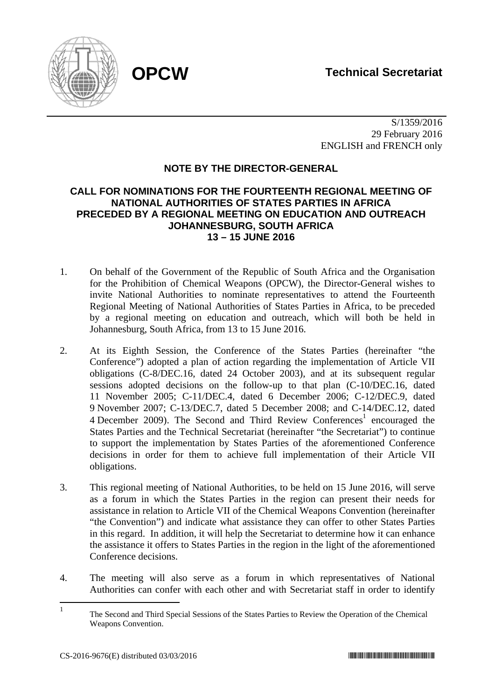

 S/1359/2016 29 February 2016 ENGLISH and FRENCH only

# **NOTE BY THE DIRECTOR-GENERAL**

# **CALL FOR NOMINATIONS FOR THE FOURTEENTH REGIONAL MEETING OF NATIONAL AUTHORITIES OF STATES PARTIES IN AFRICA PRECEDED BY A REGIONAL MEETING ON EDUCATION AND OUTREACH JOHANNESBURG, SOUTH AFRICA 13 – 15 JUNE 2016**

- 1. On behalf of the Government of the Republic of South Africa and the Organisation for the Prohibition of Chemical Weapons (OPCW), the Director-General wishes to invite National Authorities to nominate representatives to attend the Fourteenth Regional Meeting of National Authorities of States Parties in Africa, to be preceded by a regional meeting on education and outreach, which will both be held in Johannesburg, South Africa, from 13 to 15 June 2016.
- 2. At its Eighth Session, the Conference of the States Parties (hereinafter "the Conference") adopted a plan of action regarding the implementation of Article VII obligations (C-8/DEC.16, dated 24 October 2003), and at its subsequent regular sessions adopted decisions on the follow-up to that plan (C-10/DEC.16, dated 11 November 2005; C-11/DEC.4, dated 6 December 2006; C-12/DEC.9, dated 9 November 2007; C-13/DEC.7, dated 5 December 2008; and C-14/DEC.12, dated 4 December 2009). The Second and Third Review Conferences<sup>1</sup> encouraged the States Parties and the Technical Secretariat (hereinafter "the Secretariat") to continue to support the implementation by States Parties of the aforementioned Conference decisions in order for them to achieve full implementation of their Article VII obligations.
- 3. This regional meeting of National Authorities, to be held on 15 June 2016, will serve as a forum in which the States Parties in the region can present their needs for assistance in relation to Article VII of the Chemical Weapons Convention (hereinafter "the Convention") and indicate what assistance they can offer to other States Parties in this regard. In addition, it will help the Secretariat to determine how it can enhance the assistance it offers to States Parties in the region in the light of the aforementioned Conference decisions.
- 4. The meeting will also serve as a forum in which representatives of National Authorities can confer with each other and with Secretariat staff in order to identify

 $\frac{1}{1}$  The Second and Third Special Sessions of the States Parties to Review the Operation of the Chemical Weapons Convention.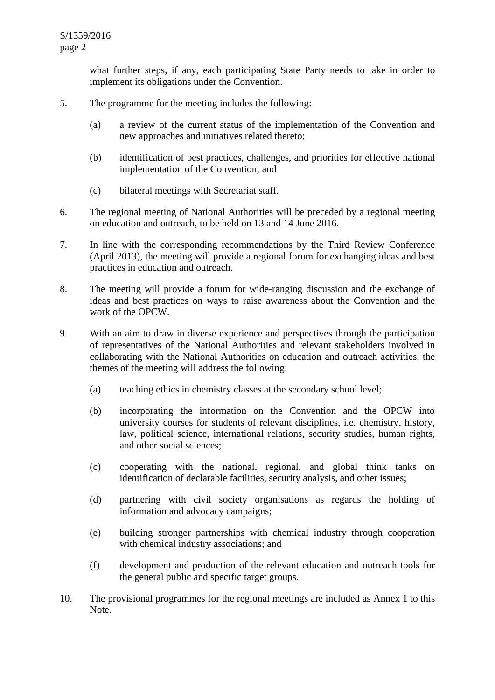what further steps, if any, each participating State Party needs to take in order to implement its obligations under the Convention.

- 5. The programme for the meeting includes the following:
	- (a) a review of the current status of the implementation of the Convention and new approaches and initiatives related thereto;
	- (b) identification of best practices, challenges, and priorities for effective national implementation of the Convention; and
	- (c) bilateral meetings with Secretariat staff.
- 6. The regional meeting of National Authorities will be preceded by a regional meeting on education and outreach, to be held on 13 and 14 June 2016.
- 7. In line with the corresponding recommendations by the Third Review Conference (April 2013), the meeting will provide a regional forum for exchanging ideas and best practices in education and outreach.
- 8. The meeting will provide a forum for wide-ranging discussion and the exchange of ideas and best practices on ways to raise awareness about the Convention and the work of the OPCW.
- 9. With an aim to draw in diverse experience and perspectives through the participation of representatives of the National Authorities and relevant stakeholders involved in collaborating with the National Authorities on education and outreach activities, the themes of the meeting will address the following:
	- (a) teaching ethics in chemistry classes at the secondary school level;
	- (b) incorporating the information on the Convention and the OPCW into university courses for students of relevant disciplines, i.e. chemistry, history, law, political science, international relations, security studies, human rights, and other social sciences;
	- (c) cooperating with the national, regional, and global think tanks on identification of declarable facilities, security analysis, and other issues;
	- (d) partnering with civil society organisations as regards the holding of information and advocacy campaigns;
	- (e) building stronger partnerships with chemical industry through cooperation with chemical industry associations; and
	- (f) development and production of the relevant education and outreach tools for the general public and specific target groups.
- 10. The provisional programmes for the regional meetings are included as Annex 1 to this Note.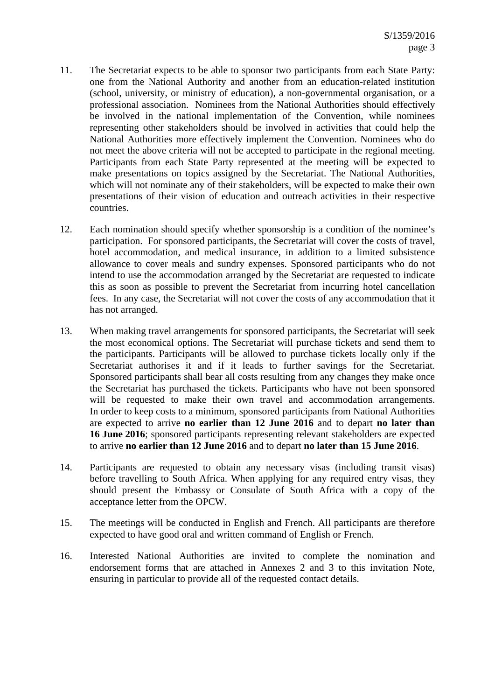- 11. The Secretariat expects to be able to sponsor two participants from each State Party: one from the National Authority and another from an education-related institution (school, university, or ministry of education), a non-governmental organisation, or a professional association. Nominees from the National Authorities should effectively be involved in the national implementation of the Convention, while nominees representing other stakeholders should be involved in activities that could help the National Authorities more effectively implement the Convention. Nominees who do not meet the above criteria will not be accepted to participate in the regional meeting. Participants from each State Party represented at the meeting will be expected to make presentations on topics assigned by the Secretariat. The National Authorities, which will not nominate any of their stakeholders, will be expected to make their own presentations of their vision of education and outreach activities in their respective countries.
- 12. Each nomination should specify whether sponsorship is a condition of the nominee's participation. For sponsored participants, the Secretariat will cover the costs of travel, hotel accommodation, and medical insurance, in addition to a limited subsistence allowance to cover meals and sundry expenses. Sponsored participants who do not intend to use the accommodation arranged by the Secretariat are requested to indicate this as soon as possible to prevent the Secretariat from incurring hotel cancellation fees. In any case, the Secretariat will not cover the costs of any accommodation that it has not arranged.
- 13. When making travel arrangements for sponsored participants, the Secretariat will seek the most economical options. The Secretariat will purchase tickets and send them to the participants. Participants will be allowed to purchase tickets locally only if the Secretariat authorises it and if it leads to further savings for the Secretariat. Sponsored participants shall bear all costs resulting from any changes they make once the Secretariat has purchased the tickets. Participants who have not been sponsored will be requested to make their own travel and accommodation arrangements. In order to keep costs to a minimum, sponsored participants from National Authorities are expected to arrive **no earlier than 12 June 2016** and to depart **no later than 16 June 2016**; sponsored participants representing relevant stakeholders are expected to arrive **no earlier than 12 June 2016** and to depart **no later than 15 June 2016**.
- 14. Participants are requested to obtain any necessary visas (including transit visas) before travelling to South Africa. When applying for any required entry visas, they should present the Embassy or Consulate of South Africa with a copy of the acceptance letter from the OPCW.
- 15. The meetings will be conducted in English and French. All participants are therefore expected to have good oral and written command of English or French.
- 16. Interested National Authorities are invited to complete the nomination and endorsement forms that are attached in Annexes 2 and 3 to this invitation Note, ensuring in particular to provide all of the requested contact details.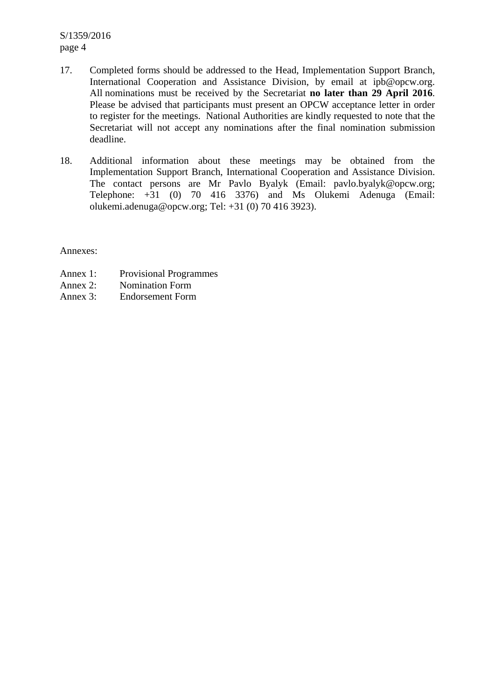S/1359/2016 page 4

- 17. Completed forms should be addressed to the Head, Implementation Support Branch, International Cooperation and Assistance Division, by email at ipb@opcw.org. All nominations must be received by the Secretariat **no later than 29 April 2016**. Please be advised that participants must present an OPCW acceptance letter in order to register for the meetings. National Authorities are kindly requested to note that the Secretariat will not accept any nominations after the final nomination submission deadline.
- 18. Additional information about these meetings may be obtained from the Implementation Support Branch, International Cooperation and Assistance Division. The contact persons are Mr Pavlo Byalyk (Email: pavlo.byalyk@opcw.org; Telephone: +31 (0) 70 416 3376) and Ms Olukemi Adenuga (Email: olukemi.adenuga@opcw.org; Tel: +31 (0) 70 416 3923).

Annexes:

- Annex 1: Provisional Programmes
- Annex 2: Nomination Form
- Annex 3: Endorsement Form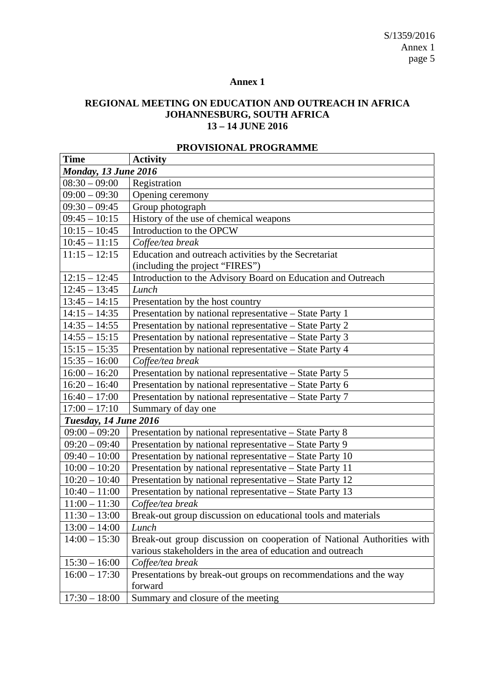S/1359/2016 Annex 1 page 5

### **Annex 1**

# **REGIONAL MEETING ON EDUCATION AND OUTREACH IN AFRICA JOHANNESBURG, SOUTH AFRICA 13 – 14 JUNE 2016**

| <b>Time</b>           | <b>Activity</b>                                                        |  |  |  |  |
|-----------------------|------------------------------------------------------------------------|--|--|--|--|
| Monday, 13 June 2016  |                                                                        |  |  |  |  |
| $08:30 - 09:00$       | Registration                                                           |  |  |  |  |
| $09:00 - 09:30$       | Opening ceremony                                                       |  |  |  |  |
| $09:30 - 09:45$       | Group photograph                                                       |  |  |  |  |
| $09:45 - 10:15$       | History of the use of chemical weapons                                 |  |  |  |  |
| $10:15 - 10:45$       | Introduction to the OPCW                                               |  |  |  |  |
| $10:45 - 11:15$       | Coffee/tea break                                                       |  |  |  |  |
| $11:15 - 12:15$       | Education and outreach activities by the Secretariat                   |  |  |  |  |
|                       | (including the project "FIRES")                                        |  |  |  |  |
| $12:15 - 12:45$       | Introduction to the Advisory Board on Education and Outreach           |  |  |  |  |
| $12:45 - 13:45$       | Lunch                                                                  |  |  |  |  |
| $13:45 - 14:15$       | Presentation by the host country                                       |  |  |  |  |
| $14:15 - 14:35$       | Presentation by national representative - State Party 1                |  |  |  |  |
| $14:35 - 14:55$       | Presentation by national representative - State Party 2                |  |  |  |  |
| $14:55 - 15:15$       | Presentation by national representative – State Party 3                |  |  |  |  |
| $15:15 - 15:35$       | Presentation by national representative - State Party 4                |  |  |  |  |
| $15:35 - 16:00$       | Coffee/tea break                                                       |  |  |  |  |
| $16:00 - 16:20$       | Presentation by national representative - State Party 5                |  |  |  |  |
| $16:20 - 16:40$       | Presentation by national representative - State Party 6                |  |  |  |  |
| $16:40 - 17:00$       | Presentation by national representative – State Party 7                |  |  |  |  |
| $17:00 - 17:10$       | Summary of day one                                                     |  |  |  |  |
| Tuesday, 14 June 2016 |                                                                        |  |  |  |  |
| $09:00 - 09:20$       | Presentation by national representative - State Party 8                |  |  |  |  |
| $09:20 - 09:40$       | Presentation by national representative - State Party 9                |  |  |  |  |
| $09:40 - 10:00$       | Presentation by national representative - State Party 10               |  |  |  |  |
| $10:00 - 10:20$       | Presentation by national representative - State Party 11               |  |  |  |  |
| $10:20 - 10:40$       | Presentation by national representative - State Party 12               |  |  |  |  |
| $10:40 - 11:00$       | Presentation by national representative - State Party 13               |  |  |  |  |
| $11:00 - 11:30$       | Coffee/tea break                                                       |  |  |  |  |
| $11:30 - 13:00$       | Break-out group discussion on educational tools and materials          |  |  |  |  |
| $13:00 - 14:00$       | Lunch                                                                  |  |  |  |  |
| $14:00 - 15:30$       | Break-out group discussion on cooperation of National Authorities with |  |  |  |  |
|                       | various stakeholders in the area of education and outreach             |  |  |  |  |
| $15:30 - 16:00$       | Coffee/tea break                                                       |  |  |  |  |
| $16:00 - 17:30$       | Presentations by break-out groups on recommendations and the way       |  |  |  |  |
|                       | forward                                                                |  |  |  |  |
| $17:30 - 18:00$       | Summary and closure of the meeting                                     |  |  |  |  |

# **PROVISIONAL PROGRAMME**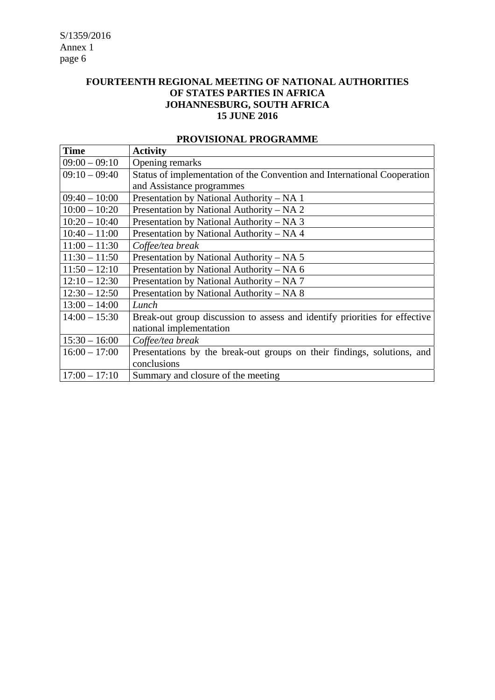# **FOURTEENTH REGIONAL MEETING OF NATIONAL AUTHORITIES OF STATES PARTIES IN AFRICA JOHANNESBURG, SOUTH AFRICA 15 JUNE 2016**

| <b>Time</b>     | <b>Activity</b>                                                            |
|-----------------|----------------------------------------------------------------------------|
| $09:00 - 09:10$ | Opening remarks                                                            |
| $09:10 - 09:40$ | Status of implementation of the Convention and International Cooperation   |
|                 | and Assistance programmes                                                  |
| $09:40 - 10:00$ | Presentation by National Authority - NA 1                                  |
| $10:00 - 10:20$ | Presentation by National Authority – NA 2                                  |
| $10:20 - 10:40$ | Presentation by National Authority – NA 3                                  |
| $10:40 - 11:00$ | Presentation by National Authority - NA 4                                  |
| $11:00 - 11:30$ | Coffee/tea break                                                           |
| $11:30 - 11:50$ | Presentation by National Authority – NA 5                                  |
| $11:50 - 12:10$ | Presentation by National Authority – NA 6                                  |
| $12:10 - 12:30$ | Presentation by National Authority – NA 7                                  |
| $12:30 - 12:50$ | Presentation by National Authority – NA 8                                  |
| $13:00 - 14:00$ | Lunch                                                                      |
| $14:00 - 15:30$ | Break-out group discussion to assess and identify priorities for effective |
|                 | national implementation                                                    |
| $15:30 - 16:00$ | Coffee/tea break                                                           |
| $16:00 - 17:00$ | Presentations by the break-out groups on their findings, solutions, and    |
|                 | conclusions                                                                |
| $17:00 - 17:10$ | Summary and closure of the meeting                                         |

#### **PROVISIONAL PROGRAMME**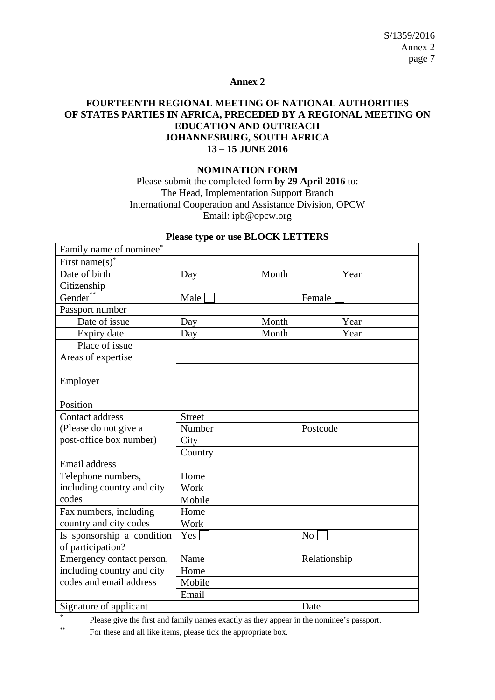#### **Annex 2**

### **FOURTEENTH REGIONAL MEETING OF NATIONAL AUTHORITIES OF STATES PARTIES IN AFRICA, PRECEDED BY A REGIONAL MEETING ON EDUCATION AND OUTREACH JOHANNESBURG, SOUTH AFRICA 13 – 15 JUNE 2016**

### **NOMINATION FORM**

Please submit the completed form **by 29 April 2016** to: The Head, Implementation Support Branch International Cooperation and Assistance Division, OPCW Email: ipb@opcw.org

| I rease type of use DLOCK LETTERS |               |       |                 |  |  |  |  |
|-----------------------------------|---------------|-------|-----------------|--|--|--|--|
| Family name of nominee*           |               |       |                 |  |  |  |  |
| First name(s) <sup>*</sup>        |               |       |                 |  |  |  |  |
| Date of birth                     | Day           | Month | Year            |  |  |  |  |
| Citizenship                       |               |       |                 |  |  |  |  |
| Gender                            | Male          |       | Female          |  |  |  |  |
| Passport number                   |               |       |                 |  |  |  |  |
| Date of issue                     | Day           | Month | Year            |  |  |  |  |
| Expiry date                       | Day           | Month | Year            |  |  |  |  |
| Place of issue                    |               |       |                 |  |  |  |  |
| Areas of expertise                |               |       |                 |  |  |  |  |
|                                   |               |       |                 |  |  |  |  |
| Employer                          |               |       |                 |  |  |  |  |
|                                   |               |       |                 |  |  |  |  |
| Position                          |               |       |                 |  |  |  |  |
| Contact address                   | <b>Street</b> |       |                 |  |  |  |  |
| (Please do not give a             | Number        |       | Postcode        |  |  |  |  |
| post-office box number)           | City          |       |                 |  |  |  |  |
|                                   | Country       |       |                 |  |  |  |  |
| Email address                     |               |       |                 |  |  |  |  |
| Telephone numbers,                | Home          |       |                 |  |  |  |  |
| including country and city        | Work          |       |                 |  |  |  |  |
| codes                             | Mobile        |       |                 |  |  |  |  |
| Fax numbers, including            | Home          |       |                 |  |  |  |  |
| country and city codes            | Work          |       |                 |  |  |  |  |
| Is sponsorship a condition        | Yes           |       | No <sub>1</sub> |  |  |  |  |
| of participation?                 |               |       |                 |  |  |  |  |
| Emergency contact person,         | Name          |       | Relationship    |  |  |  |  |
| including country and city        | Home          |       |                 |  |  |  |  |
| codes and email address           | Mobile        |       |                 |  |  |  |  |
|                                   | Email         |       |                 |  |  |  |  |
| Signature of applicant            |               |       | Date            |  |  |  |  |

# **Please type or use BLOCK LETTERS**

× Please give the first and family names exactly as they appear in the nominee's passport.

\*\* For these and all like items, please tick the appropriate box.